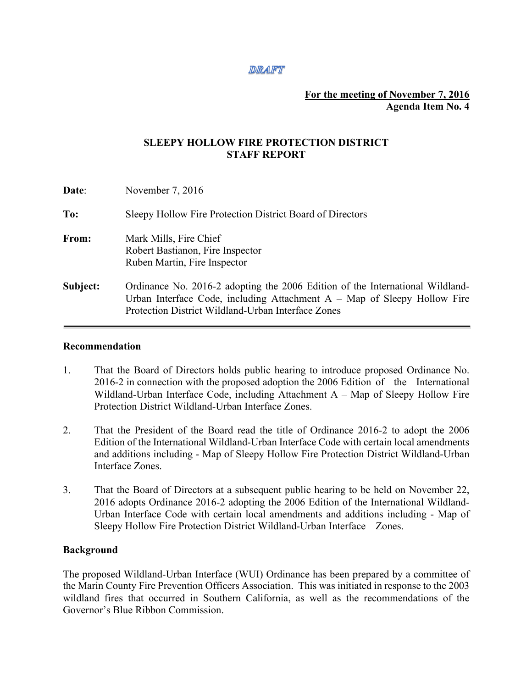### **DRAFT**

# **For the meeting of November 7, 2016 Agenda Item No. 4**

# **SLEEPY HOLLOW FIRE PROTECTION DISTRICT STAFF REPORT**

| Date:    | November $7,2016$                                                                                                                                                                                                 |
|----------|-------------------------------------------------------------------------------------------------------------------------------------------------------------------------------------------------------------------|
| To:      | Sleepy Hollow Fire Protection District Board of Directors                                                                                                                                                         |
| From:    | Mark Mills, Fire Chief<br>Robert Bastianon, Fire Inspector<br>Ruben Martin, Fire Inspector                                                                                                                        |
| Subject: | Ordinance No. 2016-2 adopting the 2006 Edition of the International Wildland-<br>Urban Interface Code, including Attachment $A - Map$ of Sleepy Hollow Fire<br>Protection District Wildland-Urban Interface Zones |

#### **Recommendation**

- 1. That the Board of Directors holds public hearing to introduce proposed Ordinance No. 2016-2 in connection with the proposed adoption the 2006 Edition of the International Wildland-Urban Interface Code, including Attachment A – Map of Sleepy Hollow Fire Protection District Wildland-Urban Interface Zones.
- 2. That the President of the Board read the title of Ordinance 2016-2 to adopt the 2006 Edition of the International Wildland-Urban Interface Code with certain local amendments and additions including - Map of Sleepy Hollow Fire Protection District Wildland-Urban Interface Zones.
- 3. That the Board of Directors at a subsequent public hearing to be held on November 22, 2016 adopts Ordinance 2016-2 adopting the 2006 Edition of the International Wildland-Urban Interface Code with certain local amendments and additions including - Map of Sleepy Hollow Fire Protection District Wildland-Urban Interface Zones.

## **Background**

The proposed Wildland-Urban Interface (WUI) Ordinance has been prepared by a committee of the Marin County Fire Prevention Officers Association. This was initiated in response to the 2003 wildland fires that occurred in Southern California, as well as the recommendations of the Governor's Blue Ribbon Commission.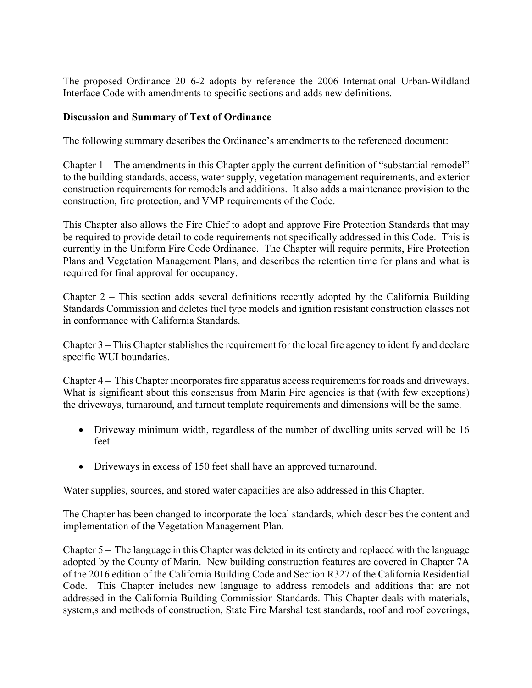The proposed Ordinance 2016-2 adopts by reference the 2006 International Urban-Wildland Interface Code with amendments to specific sections and adds new definitions.

# **Discussion and Summary of Text of Ordinance**

The following summary describes the Ordinance's amendments to the referenced document:

Chapter 1 – The amendments in this Chapter apply the current definition of "substantial remodel" to the building standards, access, water supply, vegetation management requirements, and exterior construction requirements for remodels and additions. It also adds a maintenance provision to the construction, fire protection, and VMP requirements of the Code.

This Chapter also allows the Fire Chief to adopt and approve Fire Protection Standards that may be required to provide detail to code requirements not specifically addressed in this Code. This is currently in the Uniform Fire Code Ordinance. The Chapter will require permits, Fire Protection Plans and Vegetation Management Plans, and describes the retention time for plans and what is required for final approval for occupancy.

Chapter 2 – This section adds several definitions recently adopted by the California Building Standards Commission and deletes fuel type models and ignition resistant construction classes not in conformance with California Standards.

Chapter 3 – This Chapter stablishes the requirement for the local fire agency to identify and declare specific WUI boundaries.

Chapter 4 – This Chapter incorporates fire apparatus access requirements for roads and driveways. What is significant about this consensus from Marin Fire agencies is that (with few exceptions) the driveways, turnaround, and turnout template requirements and dimensions will be the same.

- Driveway minimum width, regardless of the number of dwelling units served will be 16 feet.
- Driveways in excess of 150 feet shall have an approved turnaround.

Water supplies, sources, and stored water capacities are also addressed in this Chapter.

The Chapter has been changed to incorporate the local standards, which describes the content and implementation of the Vegetation Management Plan.

Chapter 5 – The language in this Chapter was deleted in its entirety and replaced with the language adopted by the County of Marin. New building construction features are covered in Chapter 7A of the 2016 edition of the California Building Code and Section R327 of the California Residential Code. This Chapter includes new language to address remodels and additions that are not addressed in the California Building Commission Standards. This Chapter deals with materials, system,s and methods of construction, State Fire Marshal test standards, roof and roof coverings,